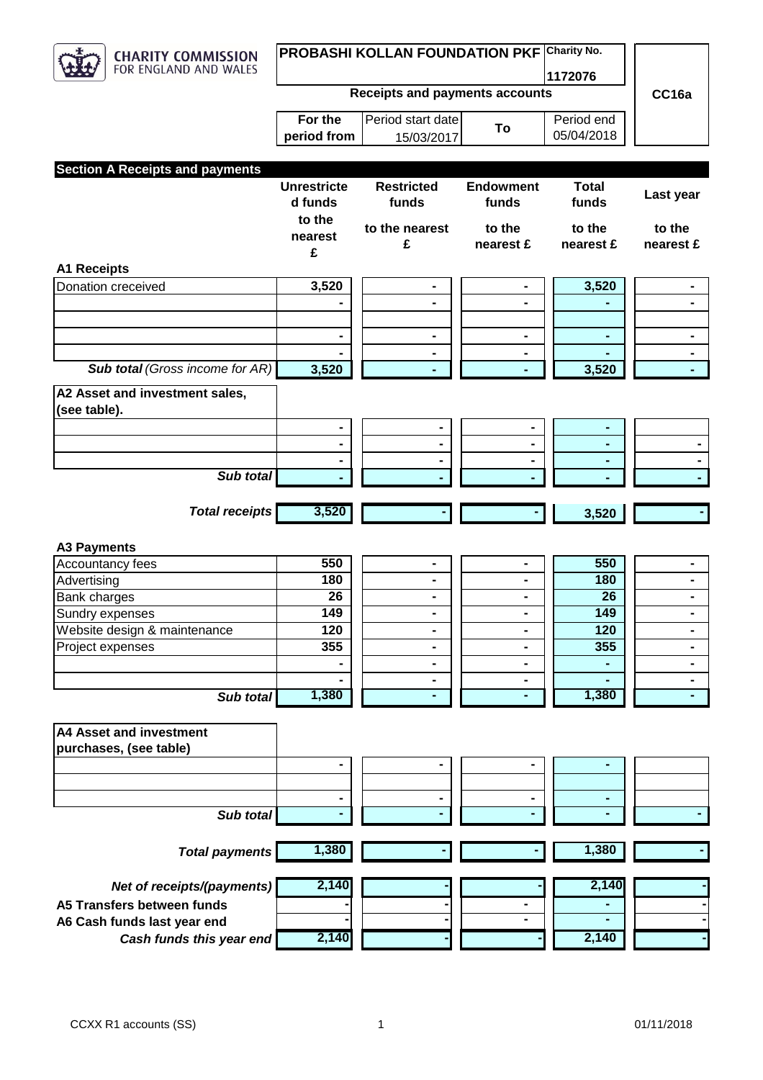

 $\sqrt{2}$ 

## **PROBASHI KOLLAN FOUNDATION PKF Charity No.**

**1172076**

Period end

**Receipts and payments accounts**

| For the      | Period start date |    |
|--------------|-------------------|----|
| eriod from I | 15/03/2017        | Г٥ |

**CC16a**

|                                        | period from        | 15/03/2017        | . J              | 05/04/2018   |                       |
|----------------------------------------|--------------------|-------------------|------------------|--------------|-----------------------|
|                                        |                    |                   |                  |              |                       |
| <b>Section A Receipts and payments</b> |                    |                   |                  |              |                       |
|                                        | <b>Unrestricte</b> | <b>Restricted</b> | <b>Endowment</b> | <b>Total</b> |                       |
|                                        | d funds            | funds             | funds            | funds        | Last year             |
|                                        | to the             |                   |                  |              |                       |
|                                        |                    | to the nearest    | to the           | to the       | to the                |
|                                        | nearest            | £                 | nearest £        | nearest £    | nearest £             |
|                                        | £                  |                   |                  |              |                       |
| <b>A1 Receipts</b>                     |                    |                   |                  |              |                       |
| <b>Donation creceived</b>              | 3,520              | $\blacksquare$    | $\blacksquare$   | 3,520        | $\blacksquare$        |
|                                        |                    | Ξ.                | Ξ.               |              | $\blacksquare$        |
|                                        |                    |                   |                  |              |                       |
|                                        |                    |                   |                  |              | ۰                     |
|                                        |                    |                   |                  |              | $\blacksquare$        |
| <b>Sub total (Gross income for AR)</b> | 3,520              |                   | ÷.               | 3,520        | $\mathbf{L}^{\prime}$ |
| A2 Asset and investment sales,         |                    |                   |                  |              |                       |
| (see table).                           |                    |                   |                  |              |                       |
|                                        |                    | $\blacksquare$    |                  |              |                       |
|                                        |                    | -                 |                  |              |                       |
|                                        |                    | $\blacksquare$    |                  |              | $\blacksquare$        |
| Sub total                              |                    |                   |                  |              |                       |
|                                        |                    |                   |                  |              |                       |
| <b>Total receipts</b>                  | 3,520              |                   |                  | 3,520        |                       |
|                                        |                    |                   |                  |              |                       |
|                                        |                    |                   |                  |              |                       |
| <b>A3 Payments</b>                     |                    |                   |                  |              |                       |
| Accountancy fees                       | 550                | $\blacksquare$    | $\blacksquare$   | 550          | $\blacksquare$        |
| Advertising                            | 180                | $\blacksquare$    | Ξ.               | 180          | $\blacksquare$        |
| <b>Bank charges</b>                    | 26                 | $\blacksquare$    |                  | 26           | $\blacksquare$        |
| Sundry expenses                        | 149                | $\blacksquare$    | $\blacksquare$   | 149          | ۰.                    |
| Website design & maintenance           | 120                |                   |                  | 120          | $\blacksquare$        |
| Project expenses                       | 355                |                   |                  | 355          |                       |
|                                        |                    | -                 |                  |              | Ξ.                    |
|                                        |                    | $\blacksquare$    | $\blacksquare$   |              | $\blacksquare$        |
| Sub total                              | 1,380              | ۰                 | ۰                | 1,380        |                       |
|                                        |                    |                   |                  |              |                       |
| <b>A4 Asset and investment</b>         |                    |                   |                  |              |                       |
| purchases, (see table)                 |                    |                   |                  |              |                       |
|                                        |                    |                   |                  |              |                       |
|                                        |                    |                   |                  |              |                       |
|                                        |                    | $\blacksquare$    |                  |              |                       |
| Sub total                              |                    |                   |                  |              |                       |
|                                        |                    |                   |                  |              |                       |
|                                        |                    |                   |                  |              |                       |
| <b>Total payments</b>                  | 1,380              |                   |                  | 1,380        |                       |
|                                        |                    |                   |                  |              |                       |
| Net of receipts/(payments)             | 2,140              |                   |                  | 2,140        |                       |
| A5 Transfers between funds             |                    |                   | $\blacksquare$   |              |                       |
| A6 Cash funds last year end            |                    |                   |                  |              |                       |
| Cash funds this year end               | 2,140              |                   |                  | 2,140        |                       |
|                                        |                    |                   |                  |              |                       |